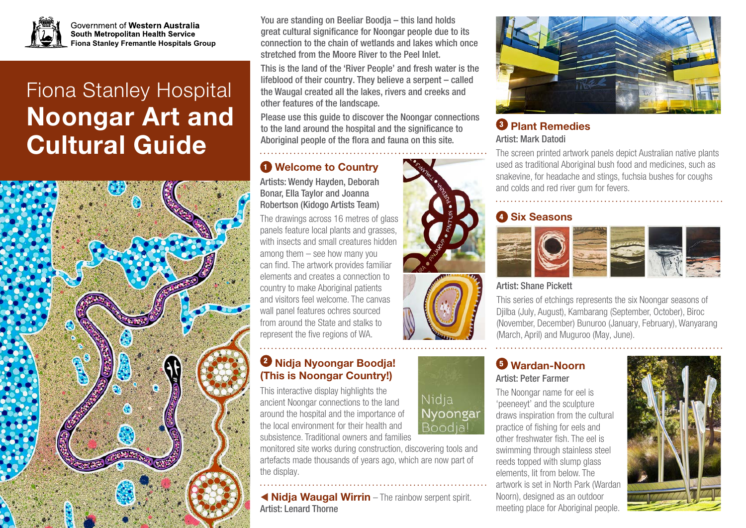

Government of Western Australia South Metropolitan Health Service **Fiona Stanley Fremantle Hospitals Group**

# Fiona Stanley Hospital Noongar Art and Cultural Guide



You are standing on Beeliar Boodja – this land holds great cultural significance for Noongar people due to its connection to the chain of wetlands and lakes which once stretched from the Moore River to the Peel Inlet.

This is the land of the 'River People' and fresh water is the lifeblood of their country. They believe a serpent – called the Waugal created all the lakes, rivers and creeks and other features of the landscape.

Please use this guide to discover the Noongar connections to the land around the hospital and the significance to Aboriginal people of the flora and fauna on this site.

## **1** Welcome to Country

Artists: Wendy Hayden, Deborah Bonar, Ella Taylor and Joanna Robertson (Kidogo Artists Team)

The drawings across 16 metres of glass panels feature local plants and grasses, with insects and small creatures hidden among them – see how many you can find. The artwork provides familiar elements and creates a connection to country to make Aboriginal patients and visitors feel welcome. The canvas wall panel features ochres sourced from around the State and stalks to represent the five regions of WA.

## <sup>2</sup> Nidja Nyoongar Boodja! (This is Noongar Country!)

This interactive display highlights the ancient Noongar connections to the land around the hospital and the importance of the local environment for their health and subsistence. Traditional owners and families

monitored site works during construction, discovering tools and artefacts made thousands of years ago, which are now part of the display.

 Nidja Waugal Wirrin – The rainbow serpent spirit. Artist: Lenard Thorne



#### <sup>6</sup> Plant Remedies Artist: Mark Datodi

The screen printed artwork panels depict Australian native plants used as traditional Aboriginal bush food and medicines, such as snakevine, for headache and stings, fuchsia bushes for coughs and colds and red river gum for fevers.

## **4 Six Seasons**



Artist: Shane Pickett

This series of etchings represents the six Noongar seasons of Djilba (July, August), Kambarang (September, October), Biroc (November, December) Bunuroo (January, February), Wanyarang (March, April) and Muguroo (May, June).

#### <sup>5</sup> Wardan-Noorn Artist: Peter Farmer

The Noongar name for eel is 'peeneeyt' and the sculpture draws inspiration from the cultural practice of fishing for eels and other freshwater fish. The eel is swimming through stainless steel reeds topped with slump glass elements, lit from below. The artwork is set in North Park (Wardan Noorn), designed as an outdoor meeting place for Aboriginal people.